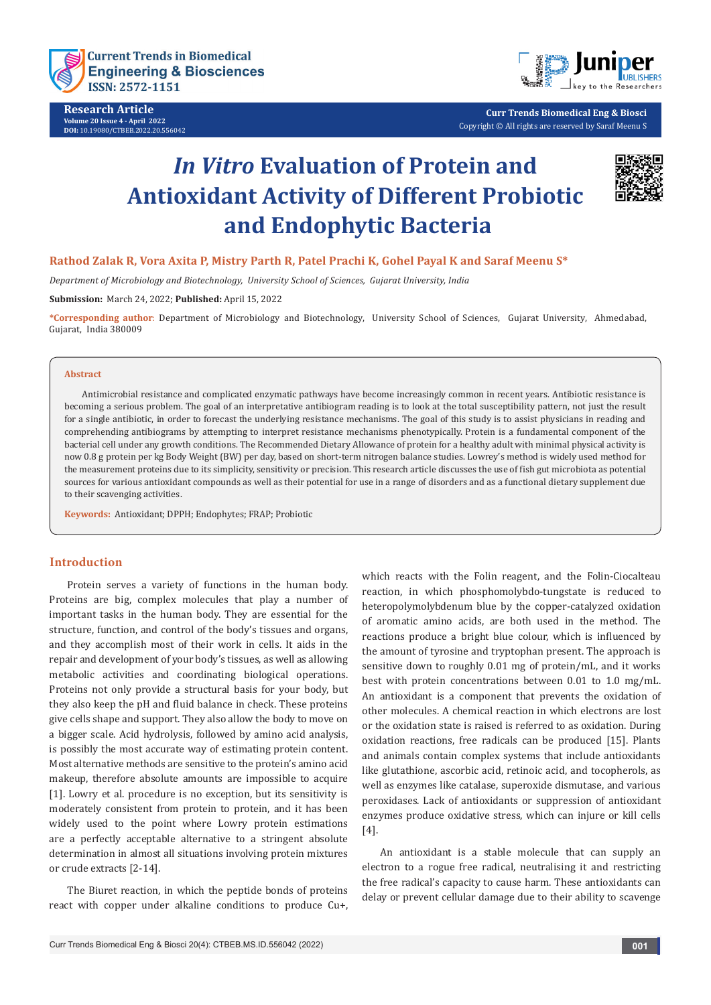

**Research Article Volume 20 Issue 4 - April 2022 DOI:** [10.19080/CTBEB.2022.20.556042](http://dx.doi.org/10.19080/CTBEB.2022.20.556042)



**Curr Trends Biomedical Eng & Biosci** Copyright © All rights are reserved by Saraf Meenu S

# *In Vitro* **Evaluation of Protein and Antioxidant Activity of Different Probiotic and Endophytic Bacteria**



# **Rathod Zalak R, Vora Axita P, Mistry Parth R, Patel Prachi K, Gohel Payal K and Saraf Meenu S\***

*Department of Microbiology and Biotechnology, University School of Sciences, Gujarat University, India* 

**Submission:** March 24, 2022; **Published:** April 15, 2022

**\*Corresponding author**: Department of Microbiology and Biotechnology, University School of Sciences, Gujarat University, Ahmedabad, Gujarat, India 380009

#### **Abstract**

Antimicrobial resistance and complicated enzymatic pathways have become increasingly common in recent years. Antibiotic resistance is becoming a serious problem. The goal of an interpretative antibiogram reading is to look at the total susceptibility pattern, not just the result for a single antibiotic, in order to forecast the underlying resistance mechanisms. The goal of this study is to assist physicians in reading and comprehending antibiograms by attempting to interpret resistance mechanisms phenotypically. Protein is a fundamental component of the bacterial cell under any growth conditions. The Recommended Dietary Allowance of protein for a healthy adult with minimal physical activity is now 0.8 g protein per kg Body Weight (BW) per day, based on short-term nitrogen balance studies. Lowrey's method is widely used method for the measurement proteins due to its simplicity, sensitivity or precision. This research article discusses the use of fish gut microbiota as potential sources for various antioxidant compounds as well as their potential for use in a range of disorders and as a functional dietary supplement due to their scavenging activities.

**Keywords:** Antioxidant; DPPH; Endophytes; FRAP; Probiotic

#### **Introduction**

Protein serves a variety of functions in the human body. Proteins are big, complex molecules that play a number of important tasks in the human body. They are essential for the structure, function, and control of the body's tissues and organs, and they accomplish most of their work in cells. It aids in the repair and development of your body's tissues, as well as allowing metabolic activities and coordinating biological operations. Proteins not only provide a structural basis for your body, but they also keep the pH and fluid balance in check. These proteins give cells shape and support. They also allow the body to move on a bigger scale. Acid hydrolysis, followed by amino acid analysis, is possibly the most accurate way of estimating protein content. Most alternative methods are sensitive to the protein's amino acid makeup, therefore absolute amounts are impossible to acquire [1]. Lowry et al. procedure is no exception, but its sensitivity is moderately consistent from protein to protein, and it has been widely used to the point where Lowry protein estimations are a perfectly acceptable alternative to a stringent absolute determination in almost all situations involving protein mixtures or crude extracts [2-14].

The Biuret reaction, in which the peptide bonds of proteins react with copper under alkaline conditions to produce Cu+,

which reacts with the Folin reagent, and the Folin-Ciocalteau reaction, in which phosphomolybdo-tungstate is reduced to heteropolymolybdenum blue by the copper-catalyzed oxidation of aromatic amino acids, are both used in the method. The reactions produce a bright blue colour, which is influenced by the amount of tyrosine and tryptophan present. The approach is sensitive down to roughly 0.01 mg of protein/mL, and it works best with protein concentrations between 0.01 to 1.0 mg/mL. An antioxidant is a component that prevents the oxidation of other molecules. A chemical reaction in which electrons are lost or the oxidation state is raised is referred to as oxidation. During oxidation reactions, free radicals can be produced [15]. Plants and animals contain complex systems that include antioxidants like glutathione, ascorbic acid, retinoic acid, and tocopherols, as well as enzymes like catalase, superoxide dismutase, and various peroxidases. Lack of antioxidants or suppression of antioxidant enzymes produce oxidative stress, which can injure or kill cells [4].

An antioxidant is a stable molecule that can supply an electron to a rogue free radical, neutralising it and restricting the free radical's capacity to cause harm. These antioxidants can delay or prevent cellular damage due to their ability to scavenge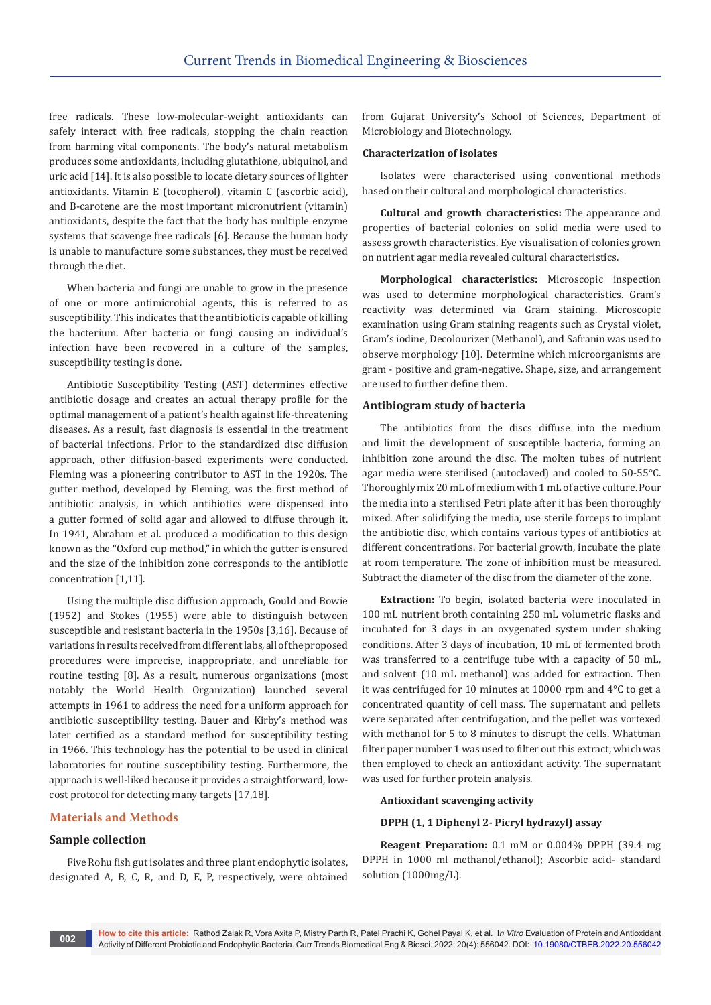free radicals. These low-molecular-weight antioxidants can safely interact with free radicals, stopping the chain reaction from harming vital components. The body's natural metabolism produces some antioxidants, including glutathione, ubiquinol, and uric acid [14]. It is also possible to locate dietary sources of lighter antioxidants. Vitamin E (tocopherol), vitamin C (ascorbic acid), and B-carotene are the most important micronutrient (vitamin) antioxidants, despite the fact that the body has multiple enzyme systems that scavenge free radicals [6]. Because the human body is unable to manufacture some substances, they must be received through the diet.

When bacteria and fungi are unable to grow in the presence of one or more antimicrobial agents, this is referred to as susceptibility. This indicates that the antibiotic is capable of killing the bacterium. After bacteria or fungi causing an individual's infection have been recovered in a culture of the samples, susceptibility testing is done.

Antibiotic Susceptibility Testing (AST) determines effective antibiotic dosage and creates an actual therapy profile for the optimal management of a patient's health against life-threatening diseases. As a result, fast diagnosis is essential in the treatment of bacterial infections. Prior to the standardized disc diffusion approach, other diffusion-based experiments were conducted. Fleming was a pioneering contributor to AST in the 1920s. The gutter method, developed by Fleming, was the first method of antibiotic analysis, in which antibiotics were dispensed into a gutter formed of solid agar and allowed to diffuse through it. In 1941, Abraham et al. produced a modification to this design known as the "Oxford cup method," in which the gutter is ensured and the size of the inhibition zone corresponds to the antibiotic concentration [1,11].

Using the multiple disc diffusion approach, Gould and Bowie (1952) and Stokes (1955) were able to distinguish between susceptible and resistant bacteria in the 1950s [3,16]. Because of variations in results received from different labs, all of the proposed procedures were imprecise, inappropriate, and unreliable for routine testing [8]. As a result, numerous organizations (most notably the World Health Organization) launched several attempts in 1961 to address the need for a uniform approach for antibiotic susceptibility testing. Bauer and Kirby's method was later certified as a standard method for susceptibility testing in 1966. This technology has the potential to be used in clinical laboratories for routine susceptibility testing. Furthermore, the approach is well-liked because it provides a straightforward, lowcost protocol for detecting many targets [17,18].

# **Materials and Methods**

#### **Sample collection**

Five Rohu fish gut isolates and three plant endophytic isolates, designated A, B, C, R, and D, E, P, respectively, were obtained

from Gujarat University's School of Sciences, Department of Microbiology and Biotechnology.

#### **Characterization of isolates**

Isolates were characterised using conventional methods based on their cultural and morphological characteristics.

**Cultural and growth characteristics:** The appearance and properties of bacterial colonies on solid media were used to assess growth characteristics. Eye visualisation of colonies grown on nutrient agar media revealed cultural characteristics.

**Morphological characteristics:** Microscopic inspection was used to determine morphological characteristics. Gram's reactivity was determined via Gram staining. Microscopic examination using Gram staining reagents such as Crystal violet, Gram's iodine, Decolourizer (Methanol), and Safranin was used to observe morphology [10]. Determine which microorganisms are gram - positive and gram-negative. Shape, size, and arrangement are used to further define them.

#### **Antibiogram study of bacteria**

The antibiotics from the discs diffuse into the medium and limit the development of susceptible bacteria, forming an inhibition zone around the disc. The molten tubes of nutrient agar media were sterilised (autoclaved) and cooled to 50-55°C. Thoroughly mix 20 mL of medium with 1 mL of active culture. Pour the media into a sterilised Petri plate after it has been thoroughly mixed. After solidifying the media, use sterile forceps to implant the antibiotic disc, which contains various types of antibiotics at different concentrations. For bacterial growth, incubate the plate at room temperature. The zone of inhibition must be measured. Subtract the diameter of the disc from the diameter of the zone.

**Extraction:** To begin, isolated bacteria were inoculated in 100 mL nutrient broth containing 250 mL volumetric flasks and incubated for 3 days in an oxygenated system under shaking conditions. After 3 days of incubation, 10 mL of fermented broth was transferred to a centrifuge tube with a capacity of 50 mL, and solvent (10 mL methanol) was added for extraction. Then it was centrifuged for 10 minutes at 10000 rpm and 4°C to get a concentrated quantity of cell mass. The supernatant and pellets were separated after centrifugation, and the pellet was vortexed with methanol for 5 to 8 minutes to disrupt the cells. Whattman filter paper number 1 was used to filter out this extract, which was then employed to check an antioxidant activity. The supernatant was used for further protein analysis.

#### **Antioxidant scavenging activity**

#### **DPPH (1, 1 Diphenyl 2- Picryl hydrazyl) assay**

**Reagent Preparation:** 0.1 mM or 0.004% DPPH (39.4 mg DPPH in 1000 ml methanol/ethanol); Ascorbic acid- standard solution (1000mg/L).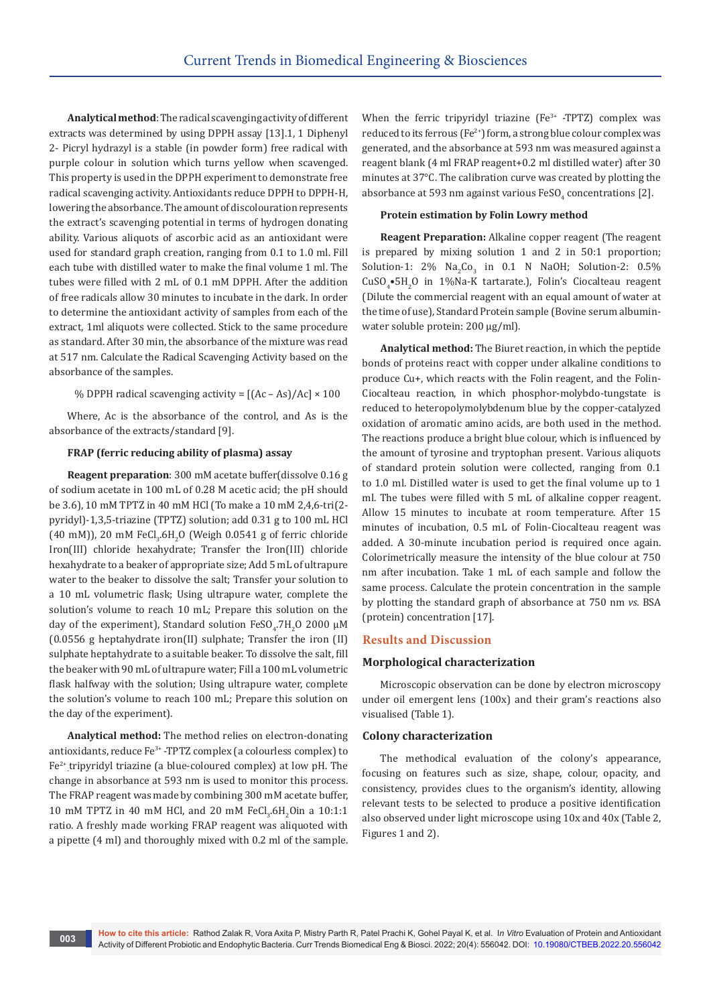**Analytical method**: The radical scavenging activity of different extracts was determined by using DPPH assay [13].1, 1 Diphenyl 2- Picryl hydrazyl is a stable (in powder form) free radical with purple colour in solution which turns yellow when scavenged. This property is used in the DPPH experiment to demonstrate free radical scavenging activity. Antioxidants reduce DPPH to DPPH-H, lowering the absorbance. The amount of discolouration represents the extract's scavenging potential in terms of hydrogen donating ability. Various aliquots of ascorbic acid as an antioxidant were used for standard graph creation, ranging from 0.1 to 1.0 ml. Fill each tube with distilled water to make the final volume 1 ml. The tubes were filled with 2 mL of 0.1 mM DPPH. After the addition of free radicals allow 30 minutes to incubate in the dark. In order to determine the antioxidant activity of samples from each of the extract, 1ml aliquots were collected. Stick to the same procedure as standard. After 30 min, the absorbance of the mixture was read at 517 nm. Calculate the Radical Scavenging Activity based on the absorbance of the samples.

% DPPH radical scavenging activity =  $[(Ac - As)/Ac] \times 100$ 

Where, Ac is the absorbance of the control, and As is the absorbance of the extracts/standard [9].

# **FRAP (ferric reducing ability of plasma) assay**

**Reagent preparation**: 300 mM acetate buffer(dissolve 0.16 g of sodium acetate in 100 mL of 0.28 M acetic acid; the pH should be 3.6), 10 mM TPTZ in 40 mM HCl (To make a 10 mM 2,4,6-tri(2 pyridyl)-1,3,5-triazine (TPTZ) solution; add 0.31 g to 100 mL HCl (40 mM)), 20 mM  $\text{FeCl}_3\text{.6H}_2\text{O}$  (Weigh 0.0541 g of ferric chloride Iron(III) chloride hexahydrate; Transfer the Iron(III) chloride hexahydrate to a beaker of appropriate size; Add 5 mL of ultrapure water to the beaker to dissolve the salt; Transfer your solution to a 10 mL volumetric flask; Using ultrapure water, complete the solution's volume to reach 10 mL; Prepare this solution on the day of the experiment), Standard solution  $\text{FeSO}_4$ .7H<sub>2</sub>O 2000  $\mu$ M (0.0556 g heptahydrate iron(II) sulphate; Transfer the iron (II) sulphate heptahydrate to a suitable beaker. To dissolve the salt, fill the beaker with 90 mL of ultrapure water; Fill a 100 mL volumetric flask halfway with the solution; Using ultrapure water, complete the solution's volume to reach 100 mL; Prepare this solution on the day of the experiment).

**Analytical method:** The method relies on electron-donating antioxidants, reduce  $Fe^{3+}$ -TPTZ complex (a colourless complex) to Fe2+ tripyridyl triazine (a blue-coloured complex) at low pH. The - change in absorbance at 593 nm is used to monitor this process. The FRAP reagent was made by combining 300 mM acetate buffer, 10 mM TPTZ in 40 mM HCl, and 20 mM FeCl<sub>3</sub>.6H<sub>2</sub>Oin a 10:1:1 ratio. A freshly made working FRAP reagent was aliquoted with a pipette (4 ml) and thoroughly mixed with 0.2 ml of the sample.

When the ferric tripyridyl triazine  $(Fe<sup>3+</sup> - TPTZ)$  complex was reduced to its ferrous (Fe<sup>2+</sup>) form, a strong blue colour complex was generated, and the absorbance at 593 nm was measured against a reagent blank (4 ml FRAP reagent+0.2 ml distilled water) after 30 minutes at 37°C. The calibration curve was created by plotting the absorbance at 593 nm against various FeSO<sub>4</sub> concentrations [2].

#### **Protein estimation by Folin Lowry method**

**Reagent Preparation:** Alkaline copper reagent (The reagent is prepared by mixing solution 1 and 2 in 50:1 proportion; Solution-1: 2%  $Na<sub>2</sub>Co<sub>3</sub>$  in 0.1 N NaOH; Solution-2: 0.5% CuSO4 •5H2 O in 1%Na-K tartarate.), Folin's Ciocalteau reagent (Dilute the commercial reagent with an equal amount of water at the time of use), Standard Protein sample (Bovine serum albuminwater soluble protein: 200 μg/ml).

**Analytical method:** The Biuret reaction, in which the peptide bonds of proteins react with copper under alkaline conditions to produce Cu+, which reacts with the Folin reagent, and the Folin-Ciocalteau reaction, in which phosphor-molybdo-tungstate is reduced to heteropolymolybdenum blue by the copper-catalyzed oxidation of aromatic amino acids, are both used in the method. The reactions produce a bright blue colour, which is influenced by the amount of tyrosine and tryptophan present. Various aliquots of standard protein solution were collected, ranging from 0.1 to 1.0 ml. Distilled water is used to get the final volume up to 1 ml. The tubes were filled with 5 mL of alkaline copper reagent. Allow 15 minutes to incubate at room temperature. After 15 minutes of incubation, 0.5 mL of Folin-Ciocalteau reagent was added. A 30-minute incubation period is required once again. Colorimetrically measure the intensity of the blue colour at 750 nm after incubation. Take 1 mL of each sample and follow the same process. Calculate the protein concentration in the sample by plotting the standard graph of absorbance at 750 nm *vs.* BSA (protein) concentration [17].

#### **Results and Discussion**

#### **Morphological characterization**

Microscopic observation can be done by electron microscopy under oil emergent lens (100x) and their gram's reactions also visualised (Table 1).

# **Colony characterization**

The methodical evaluation of the colony's appearance, focusing on features such as size, shape, colour, opacity, and consistency, provides clues to the organism's identity, allowing relevant tests to be selected to produce a positive identification also observed under light microscope using 10x and 40x (Table 2, Figures 1 and 2).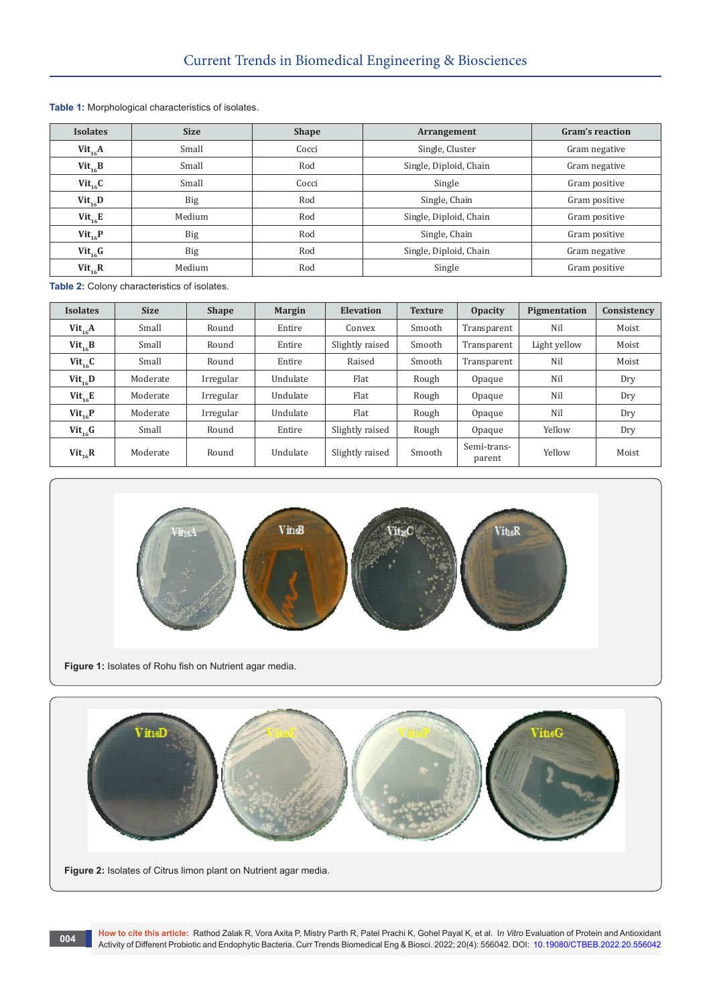| <b>Isolates</b> | <b>Size</b> | <b>Shape</b> | Arrangement            | Gram's reaction |  |
|-----------------|-------------|--------------|------------------------|-----------------|--|
| $Vit_{16}A$     | Small       | Cocci        | Single, Cluster        | Gram negative   |  |
| $Vit_{16}B$     | Small       | Rod          | Single, Diploid, Chain | Gram negative   |  |
| $Vit_{16}C$     | Small       | Cocci        | Single                 | Gram positive   |  |
| $Vit_{16}D$     | <b>Big</b>  | Rod          | Single, Chain          | Gram positive   |  |
| $Vit_{16}E$     | Medium      | Rod          | Single, Diploid, Chain | Gram positive   |  |
| $Vit_{16}P$     | Big         | Rod          | Single, Chain          | Gram positive   |  |
| $Vit_{16}$ G    | <b>Big</b>  | Rod          | Single, Diploid, Chain | Gram negative   |  |
| $Vit_{16}R$     | Medium      | Rod          | Single                 | Gram positive   |  |

**Table 1:** Morphological characteristics of isolates.

**Table 2:** Colony characteristics of isolates.

| <b>Isolates</b> | <b>Size</b> | <b>Shape</b> | <b>Margin</b> | <b>Elevation</b> | <b>Texture</b> | <b>Opacity</b>        | Pigmentation | Consistency |
|-----------------|-------------|--------------|---------------|------------------|----------------|-----------------------|--------------|-------------|
| $Vit_{1c}A$     | Small       | Round        | Entire        | Convex           | Smooth         | Transparent           | Nil          | Moist       |
| $Vit_{16}B$     | Small       | Round        | Entire        | Slightly raised  | Smooth         | Transparent           | Light yellow | Moist       |
| $Vit_{16}C$     | Small       | Round        | Entire        | Raised           | Smooth         | Nil<br>Transparent    |              | Moist       |
| $Vit_{16}D$     | Moderate    | Irregular    | Undulate      | Flat             | Rough          | Opaque                | Nil          | Dry         |
| $Vit_{16}E$     | Moderate    | Irregular    | Undulate      | Flat             | Rough          | Opaque                | Nil          | Dry         |
| $Vit_{16}P$     | Moderate    | Irregular    | Undulate      | Flat             | Rough          | Opaque                | Nil          | Dry         |
| $Vit_{16}G$     | Small       | Round        | Entire        | Slightly raised  | Rough          | Opaque                | Yellow       | Dry         |
| $Vit_{16}R$     | Moderate    | Round        | Undulate      | Slightly raised  | Smooth         | Semi-trans-<br>parent | Yellow       | Moist       |



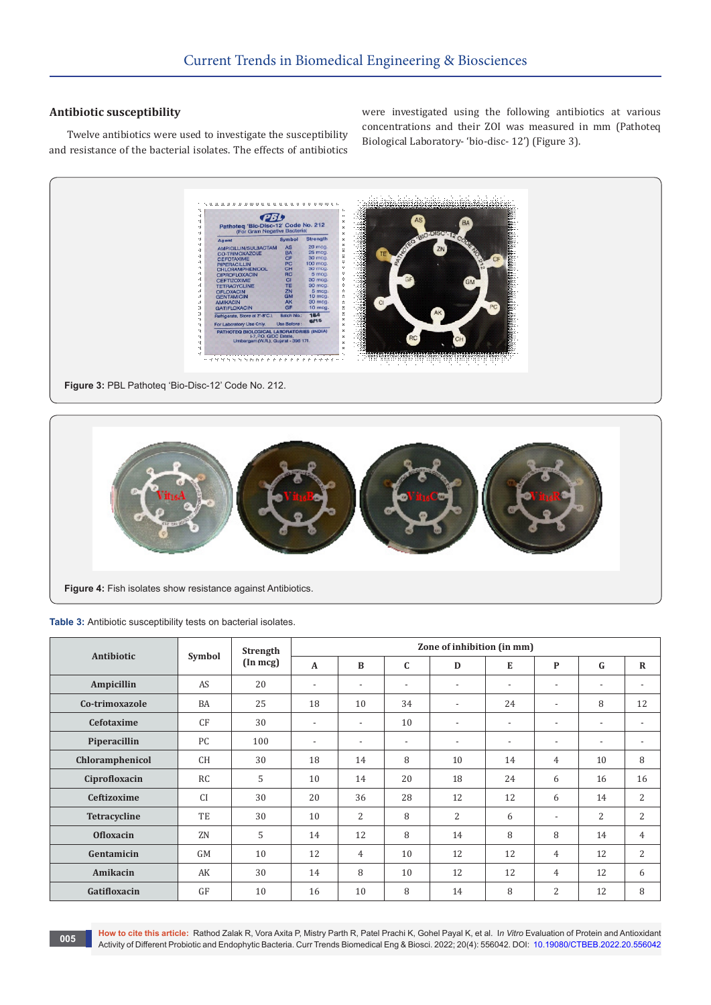# **Antibiotic susceptibility**

Twelve antibiotics were used to investigate the susceptibility and resistance of the bacterial isolates. The effects of antibiotics were investigated using the following antibiotics at various concentrations and their ZOI was measured in mm (Pathoteq Biological Laboratory- 'bio-disc- 12') (Figure 3).



**Figure 3:** PBL Pathoteq 'Bio-Disc-12' Code No. 212.



**Table 3:** Antibiotic susceptibility tests on bacterial isolates.

|                    | Symbol    | <b>Strength</b><br>$(\text{In } \text{mcg})$ | Zone of inhibition (in mm) |                          |                          |                          |                          |                          |                          |                          |
|--------------------|-----------|----------------------------------------------|----------------------------|--------------------------|--------------------------|--------------------------|--------------------------|--------------------------|--------------------------|--------------------------|
| Antibiotic         |           |                                              | $\mathbf{A}$               | B                        | $\mathbf C$              | D                        | E                        | $\mathbf{P}$             | G                        | $\mathbf R$              |
| Ampicillin         | AS        | 20                                           | $\overline{\phantom{a}}$   | $\overline{\phantom{a}}$ | $\overline{\phantom{a}}$ | $\overline{\phantom{0}}$ | $\overline{\phantom{a}}$ | $\overline{\phantom{a}}$ | $\overline{\phantom{a}}$ | $\overline{\phantom{a}}$ |
| Co-trimoxazole     | BA        | 25                                           | 18                         | 10                       | 34                       | $\overline{\phantom{a}}$ | 24                       | $\overline{\phantom{a}}$ | 8                        | 12                       |
| Cefotaxime         | CF        | 30                                           | $\overline{\phantom{a}}$   | $\overline{\phantom{a}}$ | 10                       | $\overline{\phantom{0}}$ | $\overline{\phantom{a}}$ | $\overline{\phantom{a}}$ | $\overline{\phantom{a}}$ | $\overline{\phantom{a}}$ |
| Piperacillin       | PC        | 100                                          | $\overline{\phantom{a}}$   | $\overline{\phantom{a}}$ | $\overline{\phantom{a}}$ | $\overline{\phantom{0}}$ | $\overline{\phantom{a}}$ | $\overline{\phantom{a}}$ | $\overline{\phantom{a}}$ | $\overline{\phantom{a}}$ |
| Chloramphenicol    | <b>CH</b> | 30                                           | 18                         | 14                       | 8                        | 10                       | 14                       | 4                        | 10                       | 8                        |
| Ciprofloxacin      | <b>RC</b> | 5                                            | 10                         | 14                       | 20                       | 18                       | 24                       | 6                        | 16                       | 16                       |
| <b>Ceftizoxime</b> | <b>CI</b> | 30                                           | 20                         | 36                       | 28                       | 12                       | 12                       | 6                        | 14                       | 2                        |
| Tetracycline       | TE        | 30                                           | 10                         | 2                        | 8                        | 2                        | 6                        | $\overline{\phantom{a}}$ | $\overline{2}$           | 2                        |
| <b>Ofloxacin</b>   | ZN        | 5                                            | 14                         | 12                       | 8                        | 14                       | 8                        | 8                        | 14                       | $\overline{4}$           |
| Gentamicin         | <b>GM</b> | 10                                           | 12                         | 4                        | 10                       | 12                       | 12                       | 4                        | 12                       | 2                        |
| Amikacin           | AK        | 30                                           | 14                         | 8                        | 10                       | 12                       | 12                       | $\overline{4}$           | 12                       | 6                        |
| Gatifloxacin       | GF        | 10                                           | 16                         | 10                       | 8                        | 14                       | 8                        | 2                        | 12                       | 8                        |

**How to cite this article:** Rathod Zalak R, Vora Axita P, Mistry Parth R, Patel Prachi K, Gohel Payal K, et al. I*n Vitro* Evaluation of Protein and Antioxidant How to Cite this article: Rathod Zaiak R, Vora Axita P, Mistry Parth R, Patel Prachi R, Gonel Payal R, et al. In *Vitro* Evaluation of Protein and Antioxidant<br>Activity of Different Probiotic and Endophytic Bacteria. Curr T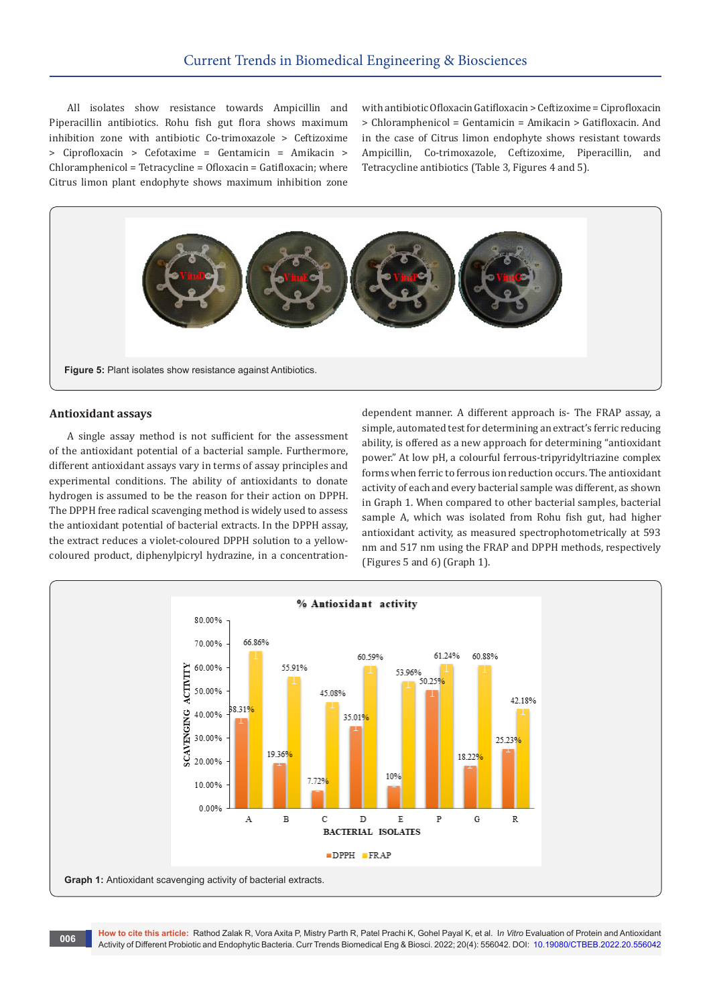All isolates show resistance towards Ampicillin and Piperacillin antibiotics. Rohu fish gut flora shows maximum inhibition zone with antibiotic Co-trimoxazole > Ceftizoxime > Ciprofloxacin > Cefotaxime = Gentamicin = Amikacin > Chloramphenicol = Tetracycline = Ofloxacin = Gatifloxacin; where Citrus limon plant endophyte shows maximum inhibition zone

with antibiotic Ofloxacin Gatifloxacin > Ceftizoxime = Ciprofloxacin > Chloramphenicol = Gentamicin = Amikacin > Gatifloxacin. And in the case of Citrus limon endophyte shows resistant towards Ampicillin, Co-trimoxazole, Ceftizoxime, Piperacillin, and Tetracycline antibiotics (Table 3, Figures 4 and 5).



#### **Antioxidant assays**

A single assay method is not sufficient for the assessment of the antioxidant potential of a bacterial sample. Furthermore, different antioxidant assays vary in terms of assay principles and experimental conditions. The ability of antioxidants to donate hydrogen is assumed to be the reason for their action on DPPH. The DPPH free radical scavenging method is widely used to assess the antioxidant potential of bacterial extracts. In the DPPH assay, the extract reduces a violet-coloured DPPH solution to a yellowcoloured product, diphenylpicryl hydrazine, in a concentrationdependent manner. A different approach is- The FRAP assay, a simple, automated test for determining an extract's ferric reducing ability, is offered as a new approach for determining "antioxidant power." At low pH, a colourful ferrous-tripyridyltriazine complex forms when ferric to ferrous ion reduction occurs. The antioxidant activity of each and every bacterial sample was different, as shown in Graph 1. When compared to other bacterial samples, bacterial sample A, which was isolated from Rohu fish gut, had higher antioxidant activity, as measured spectrophotometrically at 593 nm and 517 nm using the FRAP and DPPH methods, respectively (Figures 5 and 6) (Graph 1).

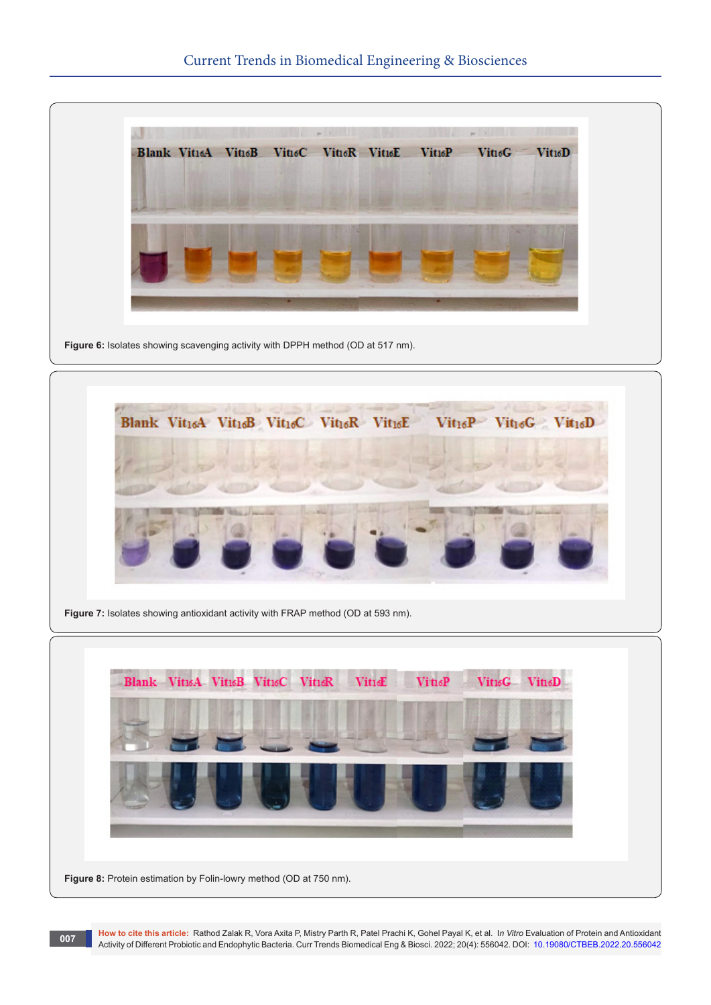

Figure 6: Isolates showing scavenging activity with DPPH method (OD at 517 nm).



**Figure 8:** Protein estimation by Folin-lowry method (OD at 750 nm).

**How to cite this article:** Rathod Zalak R, Vora Axita P, Mistry Parth R, Patel Prachi K, Gohel Payal K, et al. I*n Vitro* Evaluation of Protein and Antioxidant How to Cite this article: Rathod Zaiak R, Vora Axita P, Mistry Parth R, Patel Prachi R, Gonel Payal R, et al. In *Vitro* Evaluation of Protein and Antioxidant<br>Activity of Different Probiotic and Endophytic Bacteria. Curr T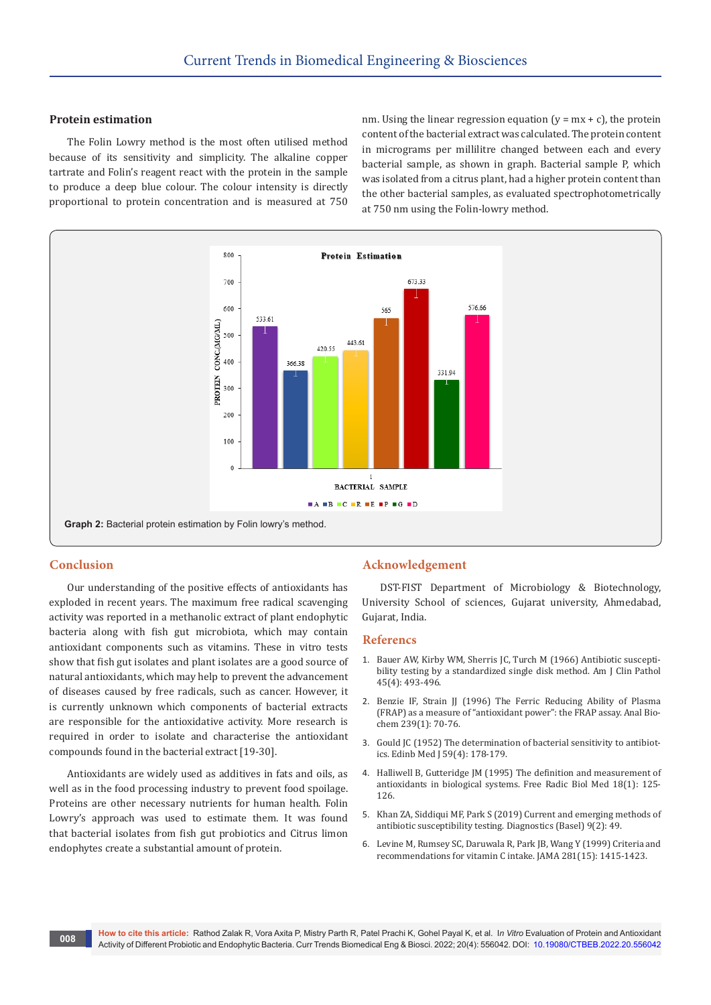#### **Protein estimation**

The Folin Lowry method is the most often utilised method because of its sensitivity and simplicity. The alkaline copper tartrate and Folin's reagent react with the protein in the sample to produce a deep blue colour. The colour intensity is directly proportional to protein concentration and is measured at 750

nm. Using the linear regression equation  $(y = mx + c)$ , the protein content of the bacterial extract was calculated. The protein content in micrograms per millilitre changed between each and every bacterial sample, as shown in graph. Bacterial sample P, which was isolated from a citrus plant, had a higher protein content than the other bacterial samples, as evaluated spectrophotometrically at 750 nm using the Folin-lowry method.



# **Conclusion**

Our understanding of the positive effects of antioxidants has exploded in recent years. The maximum free radical scavenging activity was reported in a methanolic extract of plant endophytic bacteria along with fish gut microbiota, which may contain antioxidant components such as vitamins. These in vitro tests show that fish gut isolates and plant isolates are a good source of natural antioxidants, which may help to prevent the advancement of diseases caused by free radicals, such as cancer. However, it is currently unknown which components of bacterial extracts are responsible for the antioxidative activity. More research is required in order to isolate and characterise the antioxidant compounds found in the bacterial extract [19-30].

Antioxidants are widely used as additives in fats and oils, as well as in the food processing industry to prevent food spoilage. Proteins are other necessary nutrients for human health. Folin Lowry's approach was used to estimate them. It was found that bacterial isolates from fish gut probiotics and Citrus limon endophytes create a substantial amount of protein.

#### **Acknowledgement**

DST-FIST Department of Microbiology & Biotechnology, University School of sciences, Gujarat university, Ahmedabad, Gujarat, India.

#### **Referencs**

- 1. [Bauer AW, Kirby WM, Sherris JC, Turch M \(1966\) Antibiotic suscepti](https://pubmed.ncbi.nlm.nih.gov/5325707/)[bility testing by a standardized single disk method. Am J Clin Pathol](https://pubmed.ncbi.nlm.nih.gov/5325707/)  [45\(4\): 493-496.](https://pubmed.ncbi.nlm.nih.gov/5325707/)
- 2. Benzie IF, Strain JJ (1996) The Ferric Reducing Ability of Plasma [\(FRAP\) as a measure of "antioxidant power": the FRAP assay. Anal Bio](https://pubmed.ncbi.nlm.nih.gov/8660627/)[chem 239\(1\): 70-76.](https://pubmed.ncbi.nlm.nih.gov/8660627/)
- 3. [Gould JC \(1952\) The determination of bacterial sensitivity to antibiot](https://pubmed.ncbi.nlm.nih.gov/14936918/)[ics. Edinb Med J 59\(4\): 178-179.](https://pubmed.ncbi.nlm.nih.gov/14936918/)
- 4. [Halliwell B, Gutteridge JM \(1995\) The definition and measurement of](https://pubmed.ncbi.nlm.nih.gov/7896166/)  [antioxidants in biological systems. Free Radic Biol Med 18\(1\): 125-](https://pubmed.ncbi.nlm.nih.gov/7896166/) [126.](https://pubmed.ncbi.nlm.nih.gov/7896166/)
- 5. [Khan ZA, Siddiqui MF, Park S \(2019\) Current and emerging methods of](https://pubmed.ncbi.nlm.nih.gov/31058811/)  [antibiotic susceptibility testing. Diagnostics \(Basel\) 9\(2\): 49.](https://pubmed.ncbi.nlm.nih.gov/31058811/)
- 6. [Levine M, Rumsey SC, Daruwala R, Park JB, Wang Y \(1999\) Criteria and](https://pubmed.ncbi.nlm.nih.gov/10217058/)  [recommendations for vitamin C intake. JAMA 281\(15\): 1415-1423.](https://pubmed.ncbi.nlm.nih.gov/10217058/)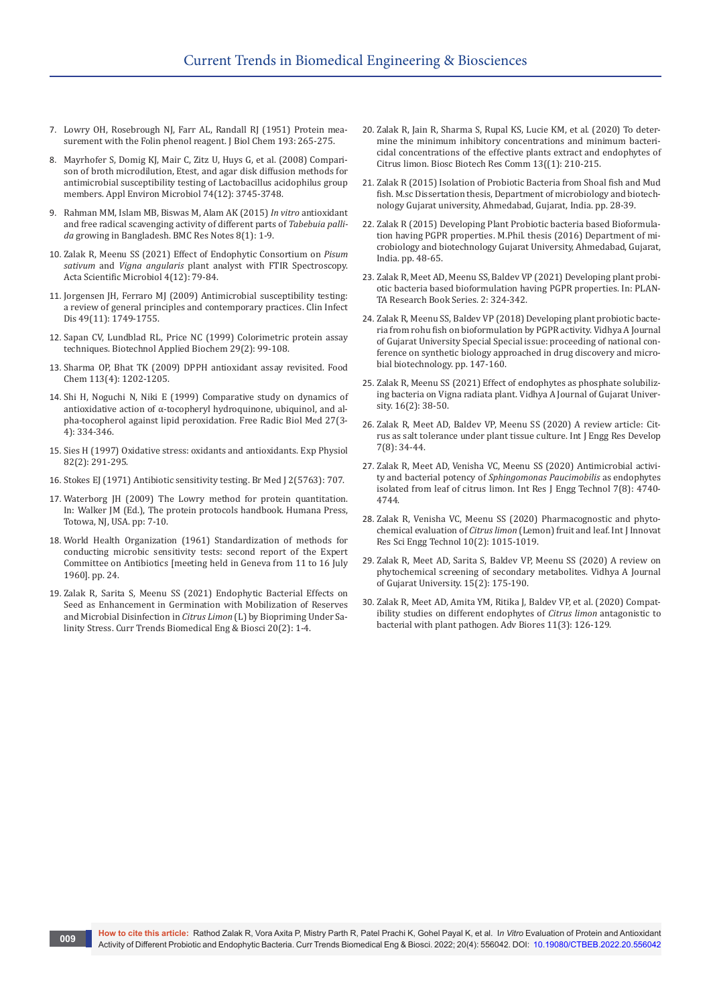- 7. [Lowry OH, Rosebrough NJ, Farr AL, Randall RJ \(1951\) Protein mea](https://pubmed.ncbi.nlm.nih.gov/14907713/)[surement with the Folin phenol reagent. J Biol Chem 193: 265-275.](https://pubmed.ncbi.nlm.nih.gov/14907713/)
- 8. [Mayrhofer S, Domig KJ, Mair C, Zitz U, Huys G, et al. \(2008\) Compari](https://pubmed.ncbi.nlm.nih.gov/18441109/)[son of broth microdilution, Etest, and agar disk diffusion methods for](https://pubmed.ncbi.nlm.nih.gov/18441109/)  [antimicrobial susceptibility testing of Lactobacillus acidophilus group](https://pubmed.ncbi.nlm.nih.gov/18441109/)  [members. Appl Environ Microbiol 74\(12\): 3745-3748.](https://pubmed.ncbi.nlm.nih.gov/18441109/)
- 9. [Rahman MM, Islam MB, Biswas M, Alam AK \(2015\)](https://pubmed.ncbi.nlm.nih.gov/26518275/) *In vitro* antioxidant [and free radical scavenging activity of different parts of](https://pubmed.ncbi.nlm.nih.gov/26518275/) *Tabebuia pallida* [growing in Bangladesh. BMC Res Notes 8\(1\): 1-9.](https://pubmed.ncbi.nlm.nih.gov/26518275/)
- 10. [Zalak R, Meenu SS \(2021\) Effect of Endophytic Consortium on](https://actascientific.com/ASMI/pdf/ASMI-04-0969.pdf) *Pisum sativum* and *Vigna angularis* [plant analyst with FTIR Spectroscopy.](https://actascientific.com/ASMI/pdf/ASMI-04-0969.pdf)  [Acta Scientific Microbiol 4\(12\): 79-84.](https://actascientific.com/ASMI/pdf/ASMI-04-0969.pdf)
- 11. [Jorgensen JH, Ferraro MJ \(2009\) Antimicrobial susceptibility testing:](https://pubmed.ncbi.nlm.nih.gov/19857164/)  [a review of general principles and contemporary practices. Clin Infect](https://pubmed.ncbi.nlm.nih.gov/19857164/)  [Dis 49\(11\): 1749-1755.](https://pubmed.ncbi.nlm.nih.gov/19857164/)
- 12. [Sapan CV, Lundblad RL, Price NC \(1999\) Colorimetric protein assay](https://iubmb.onlinelibrary.wiley.com/doi/abs/10.1111/j.1470-8744.1999.tb00538.x)  [techniques. Biotechnol Applied Biochem 29\(2\): 99-108.](https://iubmb.onlinelibrary.wiley.com/doi/abs/10.1111/j.1470-8744.1999.tb00538.x)
- 13. [Sharma OP, Bhat TK \(2009\) DPPH antioxidant assay revisited. Food](https://www.sciencedirect.com/science/article/abs/pii/S0308814608009710)  [Chem 113\(4\): 1202-1205.](https://www.sciencedirect.com/science/article/abs/pii/S0308814608009710)
- 14. [Shi H, Noguchi N, Niki E \(1999\) Comparative study on dynamics of](https://pubmed.ncbi.nlm.nih.gov/10468207/)  [antioxidative action of α-tocopheryl hydroquinone, ubiquinol, and al](https://pubmed.ncbi.nlm.nih.gov/10468207/)[pha-tocopherol against lipid peroxidation. Free Radic Biol Med 27\(3-](https://pubmed.ncbi.nlm.nih.gov/10468207/) [4\): 334-346.](https://pubmed.ncbi.nlm.nih.gov/10468207/)
- 15. [Sies H \(1997\) Oxidative stress: oxidants and antioxidants. Exp Physiol](https://pubmed.ncbi.nlm.nih.gov/9129943/)  [82\(2\): 291-295.](https://pubmed.ncbi.nlm.nih.gov/9129943/)
- 16. [Stokes EJ \(1971\) Antibiotic sensitivity testing. Br Med J 2\(5763\): 707.](https://www.bmj.com/content/2/5763/707.3)
- 17. [Waterborg JH \(2009\) The Lowry method for protein quantitation.](https://link.springer.com/protocol/10.1007/978-1-59745-198-7_2)  [In: Walker JM \(Ed.\), The protein protocols handbook. Humana Press,](https://link.springer.com/protocol/10.1007/978-1-59745-198-7_2)  [Totowa, NJ, USA. pp: 7-10.](https://link.springer.com/protocol/10.1007/978-1-59745-198-7_2)
- 18. [World Health Organization \(1961\) Standardization of methods for](https://apps.who.int/iris/handle/10665/40480)  [conducting microbic sensitivity tests: second report of the Expert](https://apps.who.int/iris/handle/10665/40480)  [Committee on Antibiotics \[meeting held in Geneva from 11 to 16 July](https://apps.who.int/iris/handle/10665/40480)  [1960\]. pp. 24.](https://apps.who.int/iris/handle/10665/40480)
- 19. [Zalak R, Sarita S, Meenu SS \(2021\) Endophytic Bacterial Effects on](https://juniperpublishers.com/ctbeb/pdf/CTBEB.MS.ID.556033.pdf)  [Seed as Enhancement in Germination with Mobilization of Reserves](https://juniperpublishers.com/ctbeb/pdf/CTBEB.MS.ID.556033.pdf)  [and Microbial Disinfection in](https://juniperpublishers.com/ctbeb/pdf/CTBEB.MS.ID.556033.pdf) *Citrus Limon* (L) by Biopriming Under Sa[linity Stress. Curr Trends Biomedical Eng & Biosci 20\(2\): 1-4.](https://juniperpublishers.com/ctbeb/pdf/CTBEB.MS.ID.556033.pdf)
- 20. [Zalak R, Jain R, Sharma S, Rupal KS, Lucie KM, et al. \(2020\) To deter](https://www.researchgate.net/publication/354600217_To_Determine_the_Minimum_Inhibitory_Concentrations_and_Minimum_Bactericidal_Concentrations_of_the_Effective_Plants_Extract_and_Endophytes_of_Citrus_limon)[mine the minimum inhibitory concentrations and minimum bacteri](https://www.researchgate.net/publication/354600217_To_Determine_the_Minimum_Inhibitory_Concentrations_and_Minimum_Bactericidal_Concentrations_of_the_Effective_Plants_Extract_and_Endophytes_of_Citrus_limon)[cidal concentrations of the effective plants extract and endophytes of](https://www.researchgate.net/publication/354600217_To_Determine_the_Minimum_Inhibitory_Concentrations_and_Minimum_Bactericidal_Concentrations_of_the_Effective_Plants_Extract_and_Endophytes_of_Citrus_limon)  [Citrus limon. Biosc Biotech Res Comm 13\(\(1\): 210-215.](https://www.researchgate.net/publication/354600217_To_Determine_the_Minimum_Inhibitory_Concentrations_and_Minimum_Bactericidal_Concentrations_of_the_Effective_Plants_Extract_and_Endophytes_of_Citrus_limon)
- 21. Zalak R (2015) Isolation of Probiotic Bacteria from Shoal fish and Mud fish. M.sc Dissertation thesis, Department of microbiology and biotechnology Gujarat university, Ahmedabad, Gujarat, India. pp. 28-39.
- 22. Zalak R (2015) Developing Plant Probiotic bacteria based Bioformulation having PGPR properties. M.Phil. thesis (2016) Department of microbiology and biotechnology Gujarat University, Ahmedabad, Gujarat, India. pp. 48-65.
- 23. Zalak R, Meet AD, Meenu SS, Baldev VP (2021) Developing plant probiotic bacteria based bioformulation having PGPR properties. In: PLAN-TA Research Book Series. 2: 324-342.
- 24. [Zalak R, Meenu SS, Baldev VP \(2018\) Developing plant probiotic bacte](https://www1.gujaratuniversity.ac.in/data/pdfs/generals-and-newspaper/Micro%20Journal%5b14507%5d.pdf)[ria from rohu fish on bioformulation by PGPR activity. Vidhya A Journal](https://www1.gujaratuniversity.ac.in/data/pdfs/generals-and-newspaper/Micro%20Journal%5b14507%5d.pdf)  [of Gujarat University Special Special issue: proceeding of national con](https://www1.gujaratuniversity.ac.in/data/pdfs/generals-and-newspaper/Micro%20Journal%5b14507%5d.pdf)[ference on synthetic biology approached in drug discovery and micro](https://www1.gujaratuniversity.ac.in/data/pdfs/generals-and-newspaper/Micro%20Journal%5b14507%5d.pdf)[bial biotechnology. pp. 147-160.](https://www1.gujaratuniversity.ac.in/data/pdfs/generals-and-newspaper/Micro%20Journal%5b14507%5d.pdf)
- 25. [Zalak R, Meenu SS \(2021\) Effect of endophytes as phosphate solubiliz](https://www.researchgate.net/publication/355096663_Effect_of_endophytes_as_phosphate_solubilizing_bacteria_on_Vigna_radiata_plant)[ing bacteria on Vigna radiata plant. Vidhya A Journal of Gujarat Univer](https://www.researchgate.net/publication/355096663_Effect_of_endophytes_as_phosphate_solubilizing_bacteria_on_Vigna_radiata_plant)[sity. 16\(2\): 38-50.](https://www.researchgate.net/publication/355096663_Effect_of_endophytes_as_phosphate_solubilizing_bacteria_on_Vigna_radiata_plant)
- 26. Zalak R, Meet AD, Baldev VP, Meenu SS (2020) A review article: Citrus as salt tolerance under plant tissue culture. Int J Engg Res Develop 7(8): 34-44.
- 27. [Zalak R, Meet AD, Venisha VC, Meenu SS \(2020\) Antimicrobial activi](https://www.irjet.net/archives/V7/i8/IRJET-V7I8814.pdf)ty and bacterial potency of *[Sphingomonas Paucimobilis](https://www.irjet.net/archives/V7/i8/IRJET-V7I8814.pdf)* as endophytes [isolated from leaf of citrus limon. Int Res J Engg Technol 7\(8\): 4740-](https://www.irjet.net/archives/V7/i8/IRJET-V7I8814.pdf) [4744.](https://www.irjet.net/archives/V7/i8/IRJET-V7I8814.pdf)
- 28. Zalak R, Venisha VC, Meenu SS (2020) Pharmacognostic and phytochemical evaluation of *Citrus limon* (Lemon) fruit and leaf. Int J Innovat Res Sci Engg Technol 10(2): 1015-1019.
- 29. Zalak R, Meet AD, Sarita S, Baldev VP, Meenu SS (2020) A review on phytochemical screening of secondary metabolites. Vidhya A Journal of Gujarat University. 15(2): 175-190.
- 30. Zalak R, Meet AD, Amita YM, Ritika J, Baldev VP, et al. (2020) Compatibility studies on different endophytes of *Citrus limon* antagonistic to bacterial with plant pathogen. Adv Biores 11(3): 126-129.